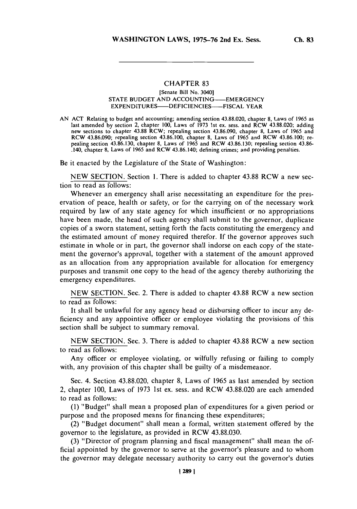## **CHAPTER 83**

## [Senate Bill No. 3040] **STATE BUDGET AND ACCOUNTING-EMERGENCY EXPENDITURES-DEFICIENCIES-FISCAL YEAR**

**AN ACT** Relating to budget and accounting; amending section **43.88.020,** chapter **8,** Laws of *1965* as new sections to chapter 43.88 RCW; repealing section 43.86.090, chapter 8, Laws of 1965 and RCW 43.86.090; repealing section 43.86.100, chapter 8, Laws of 1965 and RCW 43.86.100; repealing section 43.86.130, chapter 8, Laws of 1965 and RCW 43.86.100; repealing section 43.86.130, chapter 8, Laws of 1965 and RCW 43 .140, chapter **8,** Laws of **1965** and RCW 43.86.140; defining crimes; and providing penalties.

Be it enacted **by** the Legislature of the State of Washington:

**NEW SECTION.** Section **1.** There is added to chapter **43.88** RCW a new section to read as follows:

Whenever an emergency shall arise necessitating an expenditure for the preservation of peace, health or safety, or for the carrying on of the necessary work required **by** law of any state agency for which insufficient or no appropriations have been made, the head of such agency shall submit to the governor, duplicate copies of a sworn statement, setting forth the facts constituting the emergency and the estimated amount of money required therefor. **If** the governor approves such estimate in whole or in part, the governor shall indorse on each copy of the statement the governor's approval, together with a statement of the amount approved as an allocation from any appropriation available for allocation for emergency purposes and transmit one copy to the head of the agency thereby authorizing the emergency expenditures.

**NEW SECTION.** Sec. 2. There is added to chapter **43.88 RCW** a new section to read as follows:

It shall be unlawful for any agency head or disbursing officer to incur any deficiency and any appointive officer or employee violating the provisions of this section shall be subject to summary removal.

**NEW SECTION.** Sec. **3.** There is added to chapter **43.88** RCW a new section to read as follows:

Any officer or employee violating, or wilfully refusing or failing to comply with, any provision of this chapter shall be guilty of a misdemeanor.

Sec. 4. Section **43.88.020,** chapter **8,** Laws of *1965* as last amended **by** section 2, chapter **100,** Laws of **1973** 1st ex. sess. and RCW **43.88.020** are each amended to read as follows:

**(1)** "Budget" shall mean a proposed plan of expenditures for a given period or purpose and the proposed means for financing these expenditures;

(2) "Budget document" shall mean a formal, written statement offered **by** the governor to the legislature, as provided in RCW **43.88.030.**

**(3)** "Director of program planning and fiscal management" shall mean the official appointed **by** the governor to serve at the governor's pleasure and to whom the governor may delegate necessary authority to carry out the governor's duties